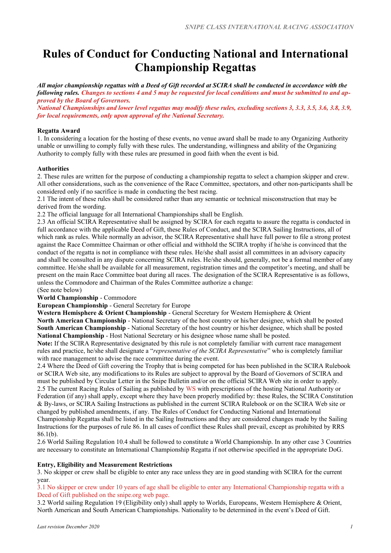# **Rules of Conduct for Conducting National and International Championship Regattas**

*All major championship regattas with a Deed of Gift recorded at SCIRA shall be conducted in accordance with the following rules. Changes to sections 4 and 5 may be requested for local conditions and must be submitted to and approved by the Board of Governors.*

*National Championships and lower level regattas may modify these rules, excluding sections 3, 3.3, 3.5, 3.6, 3.8, 3.9, for local requirements, only upon approval of the National Secretary.*

#### **Regatta Award**

1. In considering a location for the hosting of these events, no venue award shall be made to any Organizing Authority unable or unwilling to comply fully with these rules. The understanding, willingness and ability of the Organizing Authority to comply fully with these rules are presumed in good faith when the event is bid.

# **Authorities**

2. These rules are written for the purpose of conducting a championship regatta to select a champion skipper and crew. All other considerations, such as the convenience of the Race Committee, spectators, and other non-participants shall be considered only if no sacrifice is made in conducting the best racing.

2.1 The intent of these rules shall be considered rather than any semantic or technical misconstruction that may be derived from the wording.

2.2 The official language for all International Championships shall be English.

2.3 An official SCIRA Representative shall be assigned by SCIRA for each regatta to assure the regatta is conducted in full accordance with the applicable Deed of Gift, these Rules of Conduct, and the SCIRA Sailing Instructions, all of which rank as rules. While normally an advisor, the SCIRA Representative shall have full power to file a strong protest against the Race Committee Chairman or other official and withhold the SCIRA trophy if he/she is convinced that the conduct of the regatta is not in compliance with these rules. He/she shall assist all committees in an advisory capacity and shall be consulted in any dispute concerning SCIRA rules. He/she should, generally, not be a formal member of any committee. He/she shall be available for all measurement, registration times and the competitor's meeting, and shall be present on the main Race Committee boat during all races. The designation of the SCIRA Representative is as follows, unless the Commodore and Chairman of the Rules Committee authorize a change:

# (See note below)

**World Championship** - Commodore

**European Championship** - General Secretary for Europe

**Western Hemisphere & Orient Championship** - General Secretary for Western Hemisphere & Orient **North American Championship** - National Secretary of the host country or his/her designee, which shall be posted **South American Championship** - National Secretary of the host country or his/her designee, which shall be posted **National Championship** - Host National Secretary or his designee whose name shall be posted.

**Note:** If the SCIRA Representative designated by this rule is not completely familiar with current race management rules and practice, he/she shall designate a "*representative of the SCIRA Representative*" who is completely familiar with race management to advise the race committee during the event.

2.4 Where the Deed of Gift covering the Trophy that is being competed for has been published in the SCIRA Rulebook or SCIRA Web site, any modifications to its Rules are subject to approval by the Board of Governors of SCIRA and must be published by Circular Letter in the Snipe Bulletin and/or on the official SCIRA Web site in order to apply. 2.5 The current Racing Rules of Sailing as published by WS with prescriptions of the hosting National Authority or Federation (if any) shall apply, except where they have been properly modified by: these Rules, the SCIRA Constitution & By-laws, or SCIRA Sailing Instructions as published in the current SCIRA Rulebook or on the SCIRA Web site or changed by published amendments, if any. The Rules of Conduct for Conducting National and International Championship Regattas shall be listed in the Sailing Instructions and they are considered changes made by the Sailing Instructions for the purposes of rule 86. In all cases of conflict these Rules shall prevail, except as prohibited by RRS 86.1(b).

2.6 World Sailing Regulation 10.4 shall be followed to constitute a World Championship. In any other case 3 Countries are necessary to constitute an International Championship Regatta if not otherwise specified in the appropriate DoG.

# **Entry, Eligibility and Measurement Restrictions**

3. No skipper or crew shall be eligible to enter any race unless they are in good standing with SCIRA for the current year.

3.1 No skipper or crew under 10 years of age shall be eligible to enter any International Championship regatta with a Deed of Gift published on the snipe.org web page.

3.2 World sailing Regulation 19 (Eligibility only) shall apply to Worlds, Europeans, Western Hemisphere & Orient, North American and South American Championships. Nationality to be determined in the event's Deed of Gift.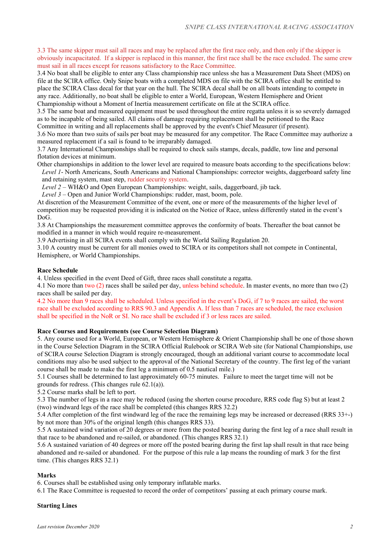3.3 The same skipper must sail all races and may be replaced after the first race only, and then only if the skipper is obviously incapacitated. If a skipper is replaced in this manner, the first race shall be the race excluded. The same crew must sail in all races except for reasons satisfactory to the Race Committee.

3.4 No boat shall be eligible to enter any Class championship race unless she has a Measurement Data Sheet (MDS) on file at the SCIRA office. Only Snipe boats with a completed MDS on file with the SCIRA office shall be entitled to place the SCIRA Class decal for that year on the hull. The SCIRA decal shall be on all boats intending to compete in any race. Additionally, no boat shall be eligible to enter a World, European, Western Hemisphere and Orient Championship without a Moment of Inertia measurement certificate on file at the SCIRA office.

3.5 The same boat and measured equipment must be used throughout the entire regatta unless it is so severely damaged as to be incapable of being sailed. All claims of damage requiring replacement shall be petitioned to the Race Committee in writing and all replacements shall be approved by the event's Chief Measurer (if present).

3.6 No more than two suits of sails per boat may be measured for any competitor. The Race Committee may authorize a measured replacement if a sail is found to be irreparably damaged.

3.7 Any International Championships shall be required to check sails stamps, decals, paddle, tow line and personal flotation devices at minimum.

Other championships in addition to the lower level are required to measure boats according to the specifications below: *Level 1*- North Americans, South Americans and National Championships: corrector weights, daggerboard safety line and retaining system, mast step, rudder security system.

*Level 2* – WH&O and Open European Championships: weight, sails, daggerboard, jib tack.

*Level 3* – Open and Junior World Championships: rudder, mast, boom, pole.

At discretion of the Measurement Committee of the event, one or more of the measurements of the higher level of competition may be requested providing it is indicated on the Notice of Race, unless differently stated in the event's DoG.

3.8 At Championships the measurement committee approves the conformity of boats. Thereafter the boat cannot be modified in a manner in which would require re-measurement.

3.9 Advertising in all SCIRA events shall comply with the World Sailing Regulation 20.

3.10 A country must be current for all monies owed to SCIRA or its competitors shall not compete in Continental, Hemisphere, or World Championships.

#### **Race Schedule**

4. Unless specified in the event Deed of Gift, three races shall constitute a regatta.

4.1 No more than two (2) races shall be sailed per day, unless behind schedule. In master events, no more than two (2) races shall be sailed per day.

4.2 No more than 9 races shall be scheduled. Unless specified in the event's DoG, if 7 to 9 races are sailed, the worst race shall be excluded according to RRS 90.3 and Appendix A. If less than 7 races are scheduled, the race exclusion shall be specified in the NoR or SI. No race shall be excluded if 3 or less races are sailed.

#### **Race Courses and Requirements (see Course Selection Diagram)**

5. Any course used for a World, European, or Western Hemisphere & Orient Championship shall be one of those shown in the Course Selection Diagram in the SCIRA Official Rulebook or SCIRA Web site (for National Championships, use of SCIRA course Selection Diagram is strongly encouraged, though an additional variant course to accommodate local conditions may also be used subject to the approval of the National Secretary of the country. The first leg of the variant course shall be made to make the first leg a minimum of 0.5 nautical mile.)

5.1 Courses shall be determined to last approximately 60-75 minutes. Failure to meet the target time will not be grounds for redress. (This changes rule 62.1(a)).

5.2 Course marks shall be left to port.

5.3 The number of legs in a race may be reduced (using the shorten course procedure, RRS code flag S) but at least 2 (two) windward legs of the race shall be completed (this changes RRS 32.2)

5.4 After completion of the first windward leg of the race the remaining legs may be increased or decreased (RRS 33+-) by not more than 30% of the original length (this changes RRS 33).

5.5 A sustained wind variation of 20 degrees or more from the posted bearing during the first leg of a race shall result in that race to be abandoned and re-sailed, or abandoned. (This changes RRS 32.1)

5.6 A sustained variation of 40 degrees or more off the posted bearing during the first lap shall result in that race being abandoned and re-sailed or abandoned. For the purpose of this rule a lap means the rounding of mark 3 for the first time. (This changes RRS 32.1)

#### **Marks**

6. Courses shall be established using only temporary inflatable marks.

6.1 The Race Committee is requested to record the order of competitors' passing at each primary course mark.

# **Starting Lines**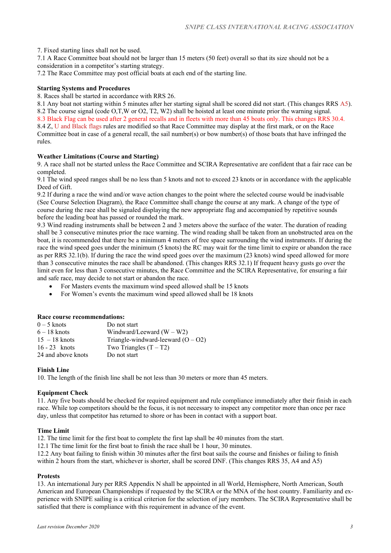7. Fixed starting lines shall not be used.

7.1 A Race Committee boat should not be larger than 15 meters (50 feet) overall so that its size should not be a consideration in a competitor's starting strategy.

7.2 The Race Committee may post official boats at each end of the starting line.

#### **Starting Systems and Procedures**

8. Races shall be started in accordance with RRS 26.

8.1 Any boat not starting within 5 minutes after her starting signal shall be scored did not start. (This changes RRS A5). 8.2 The course signal (code O,T,W or O2, T2, W2) shall be hoisted at least one minute prior the warning signal. 8.3 Black Flag can be used after 2 general recalls and in fleets with more than 45 boats only. This changes RRS 30.4. 8.4 Z, U and Black flags rules are modified so that Race Committee may display at the first mark, or on the Race Committee boat in case of a general recall, the sail number(s) or bow number(s) of those boats that have infringed the rules.

# **Weather Limitations (Course and Starting)**

9. A race shall not be started unless the Race Committee and SCIRA Representative are confident that a fair race can be completed.

9.1 The wind speed ranges shall be no less than 5 knots and not to exceed 23 knots or in accordance with the applicable Deed of Gift.

9.2 If during a race the wind and/or wave action changes to the point where the selected course would be inadvisable (See Course Selection Diagram), the Race Committee shall change the course at any mark. A change of the type of course during the race shall be signaled displaying the new appropriate flag and accompanied by repetitive sounds before the leading boat has passed or rounded the mark.

9.3 Wind reading instruments shall be between 2 and 3 meters above the surface of the water. The duration of reading shall be 3 consecutive minutes prior the race warning. The wind reading shall be taken from an unobstructed area on the boat, it is recommended that there be a minimum 4 meters of free space surrounding the wind instruments. If during the race the wind speed goes under the minimum (5 knots) the RC may wait for the time limit to expire or abandon the race as per RRS 32.1(b). If during the race the wind speed goes over the maximum (23 knots) wind speed allowed for more than 3 consecutive minutes the race shall be abandoned. (This changes RRS 32.1) If frequent heavy gusts go over the limit even for less than 3 consecutive minutes, the Race Committee and the SCIRA Representative, for ensuring a fair and safe race, may decide to not start or abandon the race.

For Masters events the maximum wind speed allowed shall be 15 knots

For Women's events the maximum wind speed allowed shall be 18 knots

#### **Race course recommendations:**

| $0-5$ knots        | Do not start                         |
|--------------------|--------------------------------------|
| $6 - 18$ knots     | Windward/Leeward $(W - W2)$          |
| $15 - 18$ knots    | Triangle-windward-leeward $(O - O2)$ |
| $16 - 23$ knots    | Two Triangles $(T - T2)$             |
| 24 and above knots | Do not start                         |

#### **Finish Line**

10. The length of the finish line shall be not less than 30 meters or more than 45 meters.

#### **Equipment Check**

11. Any five boats should be checked for required equipment and rule compliance immediately after their finish in each race. While top competitors should be the focus, it is not necessary to inspect any competitor more than once per race day, unless that competitor has returned to shore or has been in contact with a support boat.

# **Time Limit**

12. The time limit for the first boat to complete the first lap shall be 40 minutes from the start.

12.1 The time limit for the first boat to finish the race shall be 1 hour, 30 minutes.

12.2 Any boat failing to finish within 30 minutes after the first boat sails the course and finishes or failing to finish within 2 hours from the start, whichever is shorter, shall be scored DNF. (This changes RRS 35, A4 and A5)

#### **Protests**

13. An international Jury per RRS Appendix N shall be appointed in all World, Hemisphere, North American, South American and European Championships if requested by the SCIRA or the MNA of the host country. Familiarity and experience with SNIPE sailing is a critical criterion for the selection of jury members. The SCIRA Representative shall be satisfied that there is compliance with this requirement in advance of the event.